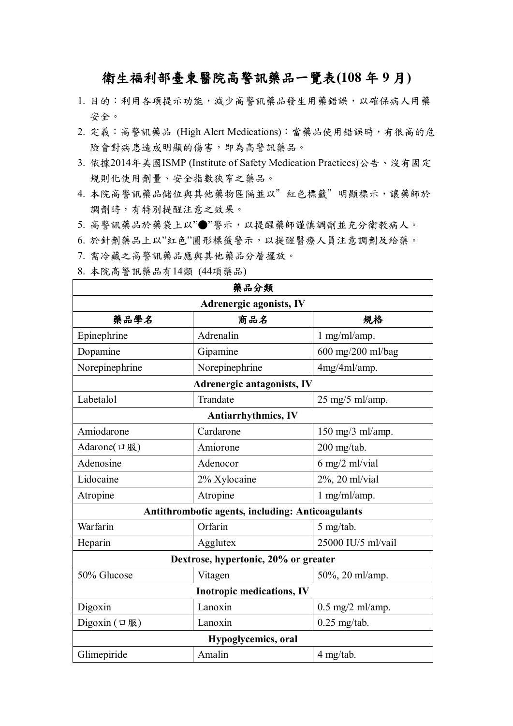## 衛生福利部臺東醫院高警訊藥品一覽表**(108** 年 **9** 月**)**

- 1. 目的:利用各項提示功能,減少高警訊藥品發生用藥錯誤,以確保病人用藥 安全。
- 2. 定義:高警訊藥品 (High Alert Medications):當藥品使用錯誤時,有很高的危 險會對病患造成明顯的傷害,即為高警訊藥品。
- 3. 依據2014年美國ISMP (Institute of Safety Medication Practices)公告、沒有固定 規則化使用劑量、安全指數狹窄之藥品。
- 4. 本院高警訊藥品儲位與其他藥物區隔並以"紅色標籤"明顯標示,讓藥師於 調劑時,有特別提醒注意之效果。
- 5. 高警訊藥品於藥袋上以"●"警示,以提醒藥師謹慎調劑並充分衛教病人。
- 6. 於針劑藥品上以"紅色"圓形標籤警示,以提醒醫療人員注意調劑及給藥。
- 7. 需冷藏之高警訊藥品應與其他藥品分層擺放。

| 藥品分類                                             |                |                                     |  |  |
|--------------------------------------------------|----------------|-------------------------------------|--|--|
| <b>Adrenergic agonists, IV</b>                   |                |                                     |  |  |
| 藥品學名                                             | 商品名            | 規格                                  |  |  |
| Epinephrine                                      | Adrenalin      | $1$ mg/ml/amp.                      |  |  |
| Dopamine                                         | Gipamine       | 600 mg/200 ml/bag                   |  |  |
| Norepinephrine                                   | Norepinephrine | 4mg/4ml/amp.                        |  |  |
| Adrenergic antagonists, IV                       |                |                                     |  |  |
| Labetalol                                        | Trandate       | $25 \text{ mg}/5 \text{ ml/amp}$ .  |  |  |
| <b>Antiarrhythmics, IV</b>                       |                |                                     |  |  |
| Amiodarone                                       | Cardarone      | $150 \text{ mg}/3 \text{ ml/amp}$ . |  |  |
| Adarone( $\Box$ 服)                               | Amiorone       | 200 mg/tab.                         |  |  |
| Adenosine                                        | Adenocor       | 6 mg/2 ml/vial                      |  |  |
| Lidocaine                                        | 2% Xylocaine   | 2%, 20 ml/vial                      |  |  |
| Atropine                                         | Atropine       | $1$ mg/ml/amp.                      |  |  |
| Antithrombotic agents, including: Anticoagulants |                |                                     |  |  |
| Warfarin                                         | Orfarin        | 5 mg/tab.                           |  |  |
| Heparin                                          | Agglutex       | 25000 IU/5 ml/vail                  |  |  |
| Dextrose, hypertonic, 20% or greater             |                |                                     |  |  |
| 50% Glucose                                      | Vitagen        | 50%, 20 ml/amp.                     |  |  |
| <b>Inotropic medications, IV</b>                 |                |                                     |  |  |
| Digoxin                                          | Lanoxin        | $0.5$ mg/2 ml/amp.                  |  |  |
| Digoxin $(\Box \mathbb{R})$                      | Lanoxin        | $0.25$ mg/tab.                      |  |  |
| Hypoglycemics, oral                              |                |                                     |  |  |
| Glimepiride                                      | Amalin         | 4 mg/tab.                           |  |  |

8. 本院高警訊藥品有14類 (44項藥品)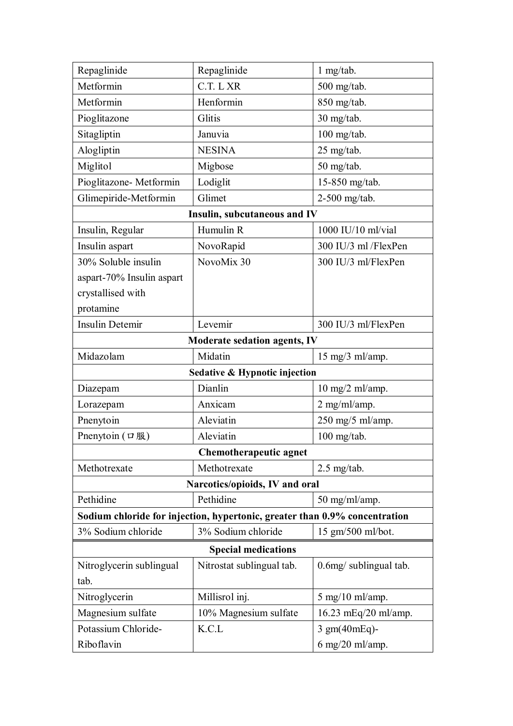| Repaglinide                                                                | Repaglinide                              | 1 mg/tab.                          |  |  |
|----------------------------------------------------------------------------|------------------------------------------|------------------------------------|--|--|
| Metformin                                                                  | C.T. L XR                                | 500 mg/tab.                        |  |  |
| Metformin                                                                  | Henformin                                | 850 mg/tab.                        |  |  |
| Pioglitazone                                                               | Glitis                                   | 30 mg/tab.                         |  |  |
| Sitagliptin                                                                | Januvia                                  | $100$ mg/tab.                      |  |  |
| Alogliptin                                                                 | <b>NESINA</b>                            | 25 mg/tab.                         |  |  |
| Miglitol                                                                   | Migbose                                  | 50 mg/tab.                         |  |  |
| Pioglitazone- Metformin                                                    | Lodiglit                                 | 15-850 mg/tab.                     |  |  |
| Glimepiride-Metformin                                                      | Glimet                                   | 2-500 mg/tab.                      |  |  |
|                                                                            | Insulin, subcutaneous and IV             |                                    |  |  |
| Insulin, Regular                                                           | Humulin R                                | 1000 IU/10 ml/vial                 |  |  |
| Insulin aspart                                                             | NovoRapid                                | 300 IU/3 ml /FlexPen               |  |  |
| 30% Soluble insulin                                                        | NovoMix 30                               | 300 IU/3 ml/FlexPen                |  |  |
| aspart-70% Insulin aspart                                                  |                                          |                                    |  |  |
| crystallised with                                                          |                                          |                                    |  |  |
| protamine                                                                  |                                          |                                    |  |  |
| <b>Insulin Detemir</b>                                                     | Levemir                                  | 300 IU/3 ml/FlexPen                |  |  |
| <b>Moderate sedation agents, IV</b>                                        |                                          |                                    |  |  |
| Midazolam                                                                  | Midatin                                  | $15 \text{ mg}/3 \text{ ml/amp}$ . |  |  |
|                                                                            | <b>Sedative &amp; Hypnotic injection</b> |                                    |  |  |
| Diazepam                                                                   | Dianlin                                  | $10 \text{ mg}/2 \text{ ml/amp}$ . |  |  |
| Lorazepam                                                                  | Anxicam                                  | $2$ mg/ml/amp.                     |  |  |
| Pnenytoin                                                                  | Aleviatin                                | 250 mg/5 ml/amp.                   |  |  |
| Pnenytoin $(\Box \mathbb{R})$                                              | Aleviatin                                | $100$ mg/tab.                      |  |  |
| Chemotherapeutic agnet                                                     |                                          |                                    |  |  |
| Methotrexate                                                               | Methotrexate                             | $2.5$ mg/tab.                      |  |  |
| Narcotics/opioids, IV and oral                                             |                                          |                                    |  |  |
| Pethidine                                                                  | Pethidine                                | 50 mg/ml/amp.                      |  |  |
| Sodium chloride for injection, hypertonic, greater than 0.9% concentration |                                          |                                    |  |  |
| 3% Sodium chloride                                                         | 3% Sodium chloride                       | 15 gm/500 ml/bot.                  |  |  |
| <b>Special medications</b>                                                 |                                          |                                    |  |  |
| Nitroglycerin sublingual                                                   | Nitrostat sublingual tab.                | 0.6mg/ sublingual tab.             |  |  |
| tab.                                                                       |                                          |                                    |  |  |
| Nitroglycerin                                                              | Millisrol inj.                           | $5 \text{ mg}/10 \text{ ml/amp}$ . |  |  |
| Magnesium sulfate                                                          | 10% Magnesium sulfate                    | 16.23 mEq/20 ml/amp.               |  |  |
| Potassium Chloride-                                                        | K.C.L                                    | 3 gm(40mEq)-                       |  |  |
| Riboflavin                                                                 |                                          | $6$ mg/20 ml/amp.                  |  |  |